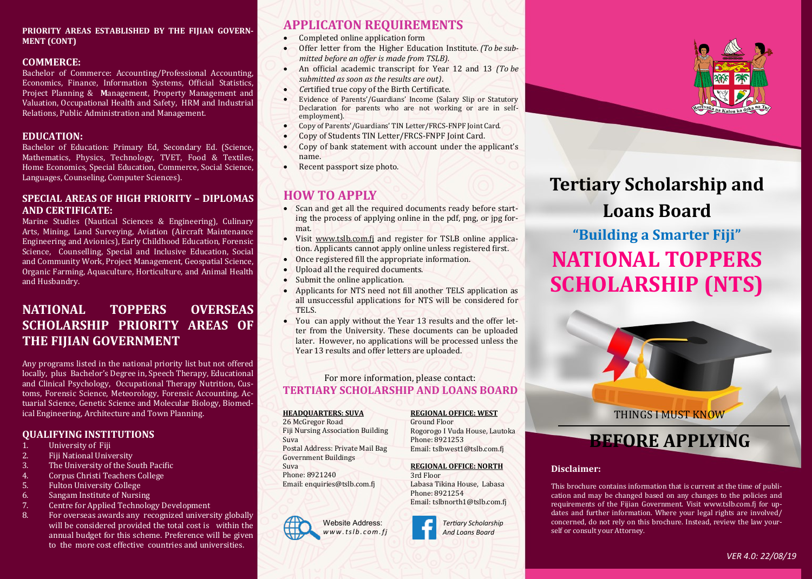#### **PRIORITY AREAS ESTABLISHED BY THE FIJIAN GOVERN-MENT (CONT)**

#### **COMMERCE:**

Bachelor of Commerce: Accounting/Professional Accounting, Economics, Finance, Information Systems, Official Statistics, Project Planning & **M**anagement, Property Management and Valuation, Occupational Health and Safety, HRM and Industrial Relations, Public Administration and Management.

## **EDUCATION:**

Bachelor of Education: Primary Ed, Secondary Ed. (Science, Mathematics, Physics, Technology, TVET, Food & Textiles, Home Economics, Special Education, Commerce, Social Science, Languages, Counseling, Computer Sciences).

## **SPECIAL AREAS OF HIGH PRIORITY – DIPLOMAS AND CERTIFICATE:**

Marine Studies (Nautical Sciences & Engineering), Culinary Arts, Mining, Land Surveying, Aviation (Aircraft Maintenance Engineering and Avionics), Early Childhood Education, Forensic Science, Counselling, Special and Inclusive Education, Social and Community Work, Project Management, Geospatial Science, Organic Farming, Aquaculture, Horticulture, and Animal Health and Husbandry.

# **NATIONAL TOPPERS OVERSEAS SCHOLARSHIP PRIORITY AREAS OF THE FIJIAN GOVERNMENT**

Any programs listed in the national priority list but not offered locally, plus Bachelor's Degree in, Speech Therapy, Educational and Clinical Psychology, Occupational Therapy Nutrition, Customs, Forensic Science, Meteorology, Forensic Accounting, Actuarial Science, Genetic Science and Molecular Biology, Biomedical Engineering, Architecture and Town Planning.

### **QUALIFYING INSTITUTIONS**

- 1. University of Fiji<br>2. Fiji National Univ
- 2. Fiji National University<br>3. The University of the So
- 3. The University of the South Pacific<br>4. Corpus Christi Teachers College
- 4. Corpus Christi Teachers College
- 5. Fulton University College
- 6. Sangam Institute of Nursing
- 7. Centre for Applied Technology Development
- 8. For overseas awards any recognized university globally will be considered provided the total cost is within the annual budget for this scheme. Preference will be given to the more cost effective countries and universities.

## **APPLICATON REQUIREMENTS**

- Completed online application form
- Offer letter from the Higher Education Institute*. (To be submitted before an offer is made from TSLB).*
- An official academic transcript for Year 12 and 13 *(To be submitted as soon as the results are out)*.
- *Ce*rtified true copy of the Birth Certificate.
- Evidence of Parents'/Guardians' Income (Salary Slip or Statutory Declaration for parents who are not working or are in selfemployment).
- Copy of Parents'/Guardians' TIN Letter/FRCS-FNPF Joint Card.
- Copy of Students TIN Letter/FRCS-FNPF Joint Card.
- Copy of bank statement with account under the applicant's name.
- Recent passport size photo.

# **HOW TO APPLY**

- Scan and get all the required documents ready before starting the process of applying online in the pdf, png, or jpg format.
- Visit [www.tslb.com.fj](http://www.tslb.com.fj) and register for TSLB online application. Applicants cannot apply online unless registered first.
- Once registered fill the appropriate information.
- Upload all the required documents.
- Submit the online application.
- Applicants for NTS need not fill another TELS application as all unsuccessful applications for NTS will be considered for **TELS**.
- You can apply without the Year 13 results and the offer letter from the University. These documents can be uploaded later. However, no applications will be processed unless the Year 13 results and offer letters are uploaded.

## For more information, please contact: **TERTIARY SCHOLARSHIP AND LOANS BOARD**

#### **HEADQUARTERS: SUVA**

26 McGregor Road Fiji Nursing Association Building Suva Postal Address: Private Mail Bag Government Buildings Suva Phone: 8921240

Email: enquiries@tslb.com.fj

## Website Address: *w w w . ts l b . c o m . f j*

#### Ground Floor Rogorogo I Vuda House, Lautoka

**REGIONAL OFFICE: WEST**

Phone: 8921253 Email: tslbwest1@tslb.com.fj

#### **REGIONAL OFFICE: NORTH**

3rd Floor Labasa Tikina House, Labasa Phone: 8921254 Email: tslbnorth1@tslb.com.fj

#### *Tertiary Scholarship And Loans Board*



# **Tertiary Scholarship and**

**Loans Board**

**"Building a Smarter Fiji" NATIONAL TOPPERS SCHOLARSHIP (NTS)**



# **BEFORE APPLYING**

### **Disclaimer:**

This brochure contains information that is current at the time of publication and may be changed based on any changes to the policies and requirements of the Fijian Government. Visit www.tslb.com.fj for updates and further information. Where your legal rights are involved/ concerned, do not rely on this brochure. Instead, review the law yourself or consult your Attorney.